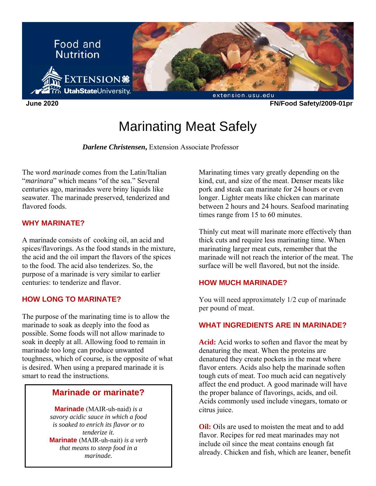

# Marinating Meat Safely

*Darlene Christensen***,** Extension Associate Professor

The word *marinade* comes from the Latin/Italian "*marinara*" which means "of the sea." Several centuries ago, marinades were briny liquids like seawater. The marinade preserved, tenderized and flavored foods

#### **WHY MARINATE?**

A marinade consists of cooking oil, an acid and spices/flavorings. As the food stands in the mixture, the acid and the oil impart the flavors of the spices to the food. The acid also tenderizes. So, the purpose of a marinade is very similar to earlier centuries: to tenderize and flavor.

#### **HOW LONG TO MARINATE?**

The purpose of the marinating time is to allow the marinade to soak as deeply into the food as possible. Some foods will not allow marinade to soak in deeply at all. Allowing food to remain in marinade too long can produce unwanted toughness, which of course, is the opposite of what is desired. When using a prepared marinade it is smart to read the instructions.

# **Marinade or marinate?**

**Marinade** (MAIR-uh-naid) *is a savory acidic sauce in which a food is soaked to enrich its flavor or to tenderize it.* **Marinate** (MAIR-uh-nait) *is a verb that means to steep food in a marinade.*

Marinating times vary greatly depending on the kind, cut, and size of the meat. Denser meats like pork and steak can marinate for 24 hours or even longer. Lighter meats like chicken can marinate between 2 hours and 24 hours. Seafood marinating times range from 15 to 60 minutes.

Thinly cut meat will marinate more effectively than thick cuts and require less marinating time. When marinating larger meat cuts, remember that the marinade will not reach the interior of the meat. The surface will be well flavored, but not the inside.

#### **HOW MUCH MARINADE?**

You will need approximately 1/2 cup of marinade per pound of meat.

## **WHAT INGREDIENTS ARE IN MARINADE?**

**Acid:** Acid works to soften and flavor the meat by denaturing the meat. When the proteins are denatured they create pockets in the meat where flavor enters. Acids also help the marinade soften tough cuts of meat. Too much acid can negatively affect the end product. A good marinade will have the proper balance of flavorings, acids, and oil. Acids commonly used include vinegars, tomato or citrus juice.

**Oil:** Oils are used to moisten the meat and to add flavor. Recipes for red meat marinades may not include oil since the meat contains enough fat already. Chicken and fish, which are leaner, benefit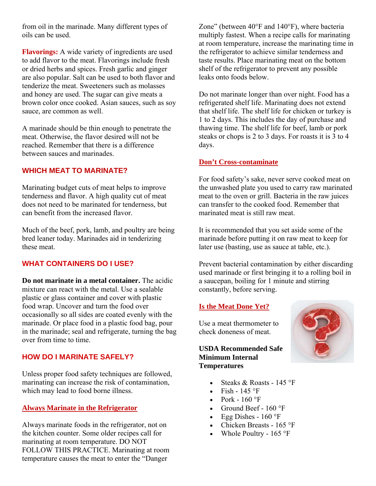from oil in the marinade. Many different types of oils can be used.

**Flavorings:** A wide variety of ingredients are used to add flavor to the meat. Flavorings include fresh or dried herbs and spices. Fresh garlic and ginger are also popular. Salt can be used to both flavor and tenderize the meat. Sweeteners such as molasses and honey are used. The sugar can give meats a brown color once cooked. Asian sauces, such as soy sauce, are common as well.

A marinade should be thin enough to penetrate the meat. Otherwise, the flavor desired will not be reached. Remember that there is a difference between sauces and marinades.

#### **WHICH MEAT TO MARINATE?**

Marinating budget cuts of meat helps to improve tenderness and flavor. A high quality cut of meat does not need to be marinated for tenderness, but can benefit from the increased flavor.

Much of the beef, pork, lamb, and poultry are being bred leaner today. Marinades aid in tenderizing these meat.

## **WHAT CONTAINERS DO I USE?**

**Do not marinate in a metal container.** The acidic mixture can react with the metal. Use a sealable plastic or glass container and cover with plastic food wrap. Uncover and turn the food over occasionally so all sides are coated evenly with the marinade. Or place food in a plastic food bag, pour in the marinade; seal and refrigerate, turning the bag over from time to time.

## **HOW DO I MARINATE SAFELY?**

Unless proper food safety techniques are followed, marinating can increase the risk of contamination, which may lead to food borne illness.

#### **Always Marinate in the Refrigerator**

Always marinate foods in the refrigerator, not on the kitchen counter. Some older recipes call for marinating at room temperature. DO NOT FOLLOW THIS PRACTICE. Marinating at room temperature causes the meat to enter the "Danger

Zone" (between 40°F and 140°F), where bacteria multiply fastest. When a recipe calls for marinating at room temperature, increase the marinating time in the refrigerator to achieve similar tenderness and taste results. Place marinating meat on the bottom shelf of the refrigerator to prevent any possible leaks onto foods below.

Do not marinate longer than over night. Food has a refrigerated shelf life. Marinating does not extend that shelf life. The shelf life for chicken or turkey is 1 to 2 days. This includes the day of purchase and thawing time. The shelf life for beef, lamb or pork steaks or chops is 2 to 3 days. For roasts it is 3 to 4 days.

#### **Don't Cross-contaminate**

For food safety's sake, never serve cooked meat on the unwashed plate you used to carry raw marinated meat to the oven or grill. Bacteria in the raw juices can transfer to the cooked food. Remember that marinated meat is still raw meat.

It is recommended that you set aside some of the marinade before putting it on raw meat to keep for later use (basting, use as sauce at table, etc.).

Prevent bacterial contamination by either discarding used marinade or first bringing it to a rolling boil in a saucepan, boiling for 1 minute and stirring constantly, before serving.

#### **Is the Meat Done Yet?**

Use a meat thermometer to check doneness of meat.

#### **USDA Recommended Safe Minimum Internal Temperatures**



- Steaks & Roasts 145 °F
- Fish  $145$  °F
- Pork  $160$  °F
- Ground Beef 160 °F
- Egg Dishes  $160^\circ F$
- Chicken Breasts 165 °F
- Whole Poultry  $165 \text{ }^{\circ}\text{F}$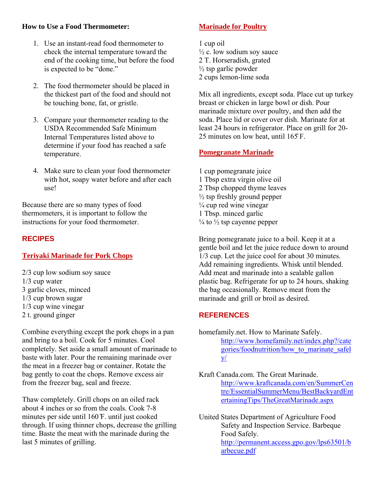## **How to Use a Food Thermometer:**

- 1. Use an instant-read food thermometer to check the internal temperature toward the end of the cooking time, but before the food is expected to be "done."
- 2. The food thermometer should be placed in the thickest part of the food and should not be touching bone, fat, or gristle.
- 3. Compare your thermometer reading to the USDA Recommended Safe Minimum Internal Temperatures listed above to determine if your food has reached a safe temperature.
- 4. Make sure to clean your food thermometer with hot, soapy water before and after each use!

Because there are so many types of food thermometers, it is important to follow the instructions for your food thermometer.

# **RECIPES**

# **Teriyaki Marinade for Pork Chops**

2/3 cup low sodium soy sauce 1/3 cup water 3 garlic cloves, minced 1/3 cup brown sugar 1/3 cup wine vinegar 2 t. ground ginger

Combine everything except the pork chops in a pan and bring to a boil. Cook for 5 minutes. Cool completely. Set aside a small amount of marinade to baste with later. Pour the remaining marinade over the meat in a freezer bag or container. Rotate the bag gently to coat the chops. Remove excess air from the freezer bag, seal and freeze.

Thaw completely. Grill chops on an oiled rack about 4 inches or so from the coals. Cook 7-8 minutes per side until 160 ̊F. until just cooked through. If using thinner chops, decrease the grilling time. Baste the meat with the marinade during the last 5 minutes of grilling.

# **Marinade for Poultry**

1 cup oil  $\frac{1}{2}$  c. low sodium soy sauce 2 T. Horseradish, grated  $\frac{1}{2}$  tsp garlic powder 2 cups lemon-lime soda

Mix all ingredients, except soda. Place cut up turkey breast or chicken in large bowl or dish. Pour marinade mixture over poultry, and then add the soda. Place lid or cover over dish. Marinate for at least 24 hours in refrigerator. Place on grill for 20- 25 minutes on low heat, until  $165$  F.

## **Pomegranate Marinade**

1 cup pomegranate juice 1 Tbsp extra virgin olive oil 2 Tbsp chopped thyme leaves  $\frac{1}{2}$  tsp freshly ground pepper  $\frac{1}{4}$  cup red wine vinegar 1 Tbsp. minced garlic  $\frac{1}{4}$  to  $\frac{1}{2}$  tsp cayenne pepper

Bring pomegranate juice to a boil. Keep it at a gentle boil and let the juice reduce down to around 1/3 cup. Let the juice cool for about 30 minutes. Add remaining ingredients. Whisk until blended. Add meat and marinade into a sealable gallon plastic bag. Refrigerate for up to 24 hours, shaking the bag occasionally. Remove meat from the marinade and grill or broil as desired.

# **REFERENCES**

- homefamily.net. How to Marinate Safely. http://www.homefamily.net/index.php?/cate gories/foodnutrition/how\_to\_marinate\_safel  $V$ /
- Kraft Canada.com. The Great Marinade. http://www.kraftcanada.com/en/SummerCen tre/EssentialSummerMenu/BestBackyardEnt ertainingTips/TheGreatMarinade.aspx
- United States Department of Agriculture Food Safety and Inspection Service. Barbeque Food Safely. http://permanent.access.gpo.gov/lps63501/b arbecue.pdf